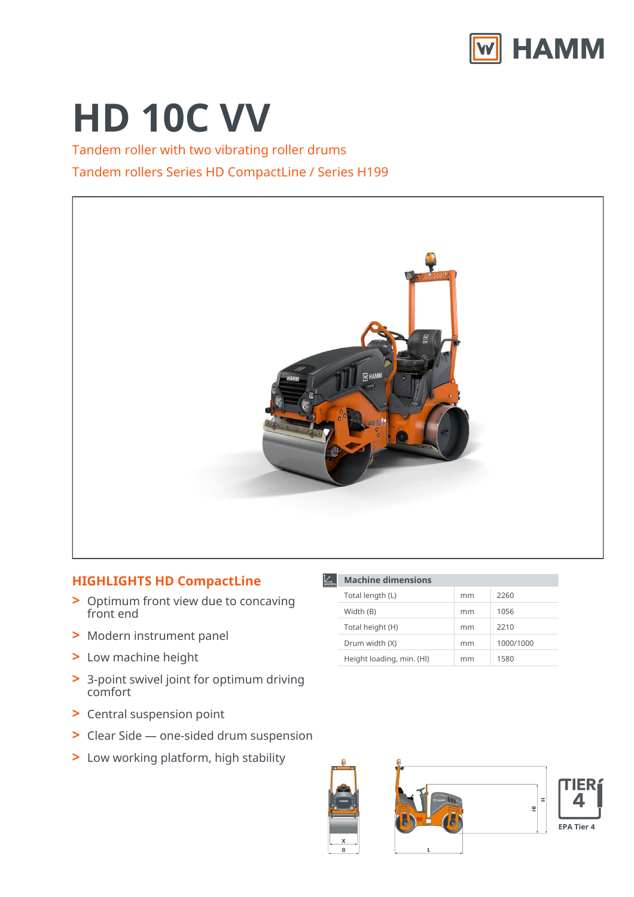

# **HD 10C VV**

Tandem roller with two vibrating roller drums Tandem rollers Series HD CompactLine / Series H199



匕

**Machine dimensions**

Total length (L) mm 2260 Width (B) 1056 Total height (H) mm 2210 Drum width (X) mm 1000/1000 Height loading, min. (HI) mm 1580

## **HIGHLIGHTS HD CompactLine**

- Optimum front view due to concaving **>** front end
- **>** Modern instrument panel
- **>** Low machine height
- 3-point swivel joint for optimum driving **>** comfort
- **>** Central suspension point
- **>** Clear Side one-sided drum suspension
- **>** Low working platform, high stability